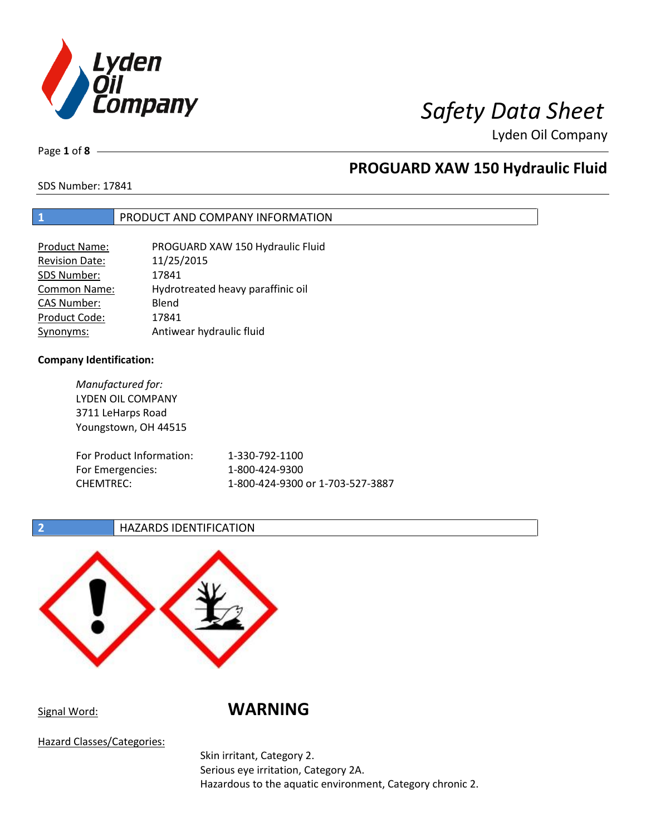

Page **1** of **8**

# **PROGUARD XAW 150 Hydraulic Fluid**

SDS Number: 17841

## **1** PRODUCT AND COMPANY INFORMATION

| <b>Product Name:</b>  | PROGUARD XAW 150 Hydraulic Fluid  |
|-----------------------|-----------------------------------|
| <b>Revision Date:</b> | 11/25/2015                        |
| SDS Number:           | 17841                             |
| <b>Common Name:</b>   | Hydrotreated heavy paraffinic oil |
| <b>CAS Number:</b>    | Blend                             |
| Product Code:         | 17841                             |
| Synonyms:             | Antiwear hydraulic fluid          |

## **Company Identification:**

*Manufactured for:* LYDEN OIL COMPANY 3711 LeHarps Road Youngstown, OH 44515 For Product Information: 1-330-792-1100 For Emergencies: 1-800-424-9300 CHEMTREC: 1-800-424-9300 or 1-703-527-3887

## **2 HAZARDS IDENTIFICATION**



Signal Word: **WARNING**

Hazard Classes/Categories:

Skin irritant, Category 2. Serious eye irritation, Category 2A. Hazardous to the aquatic environment, Category chronic 2.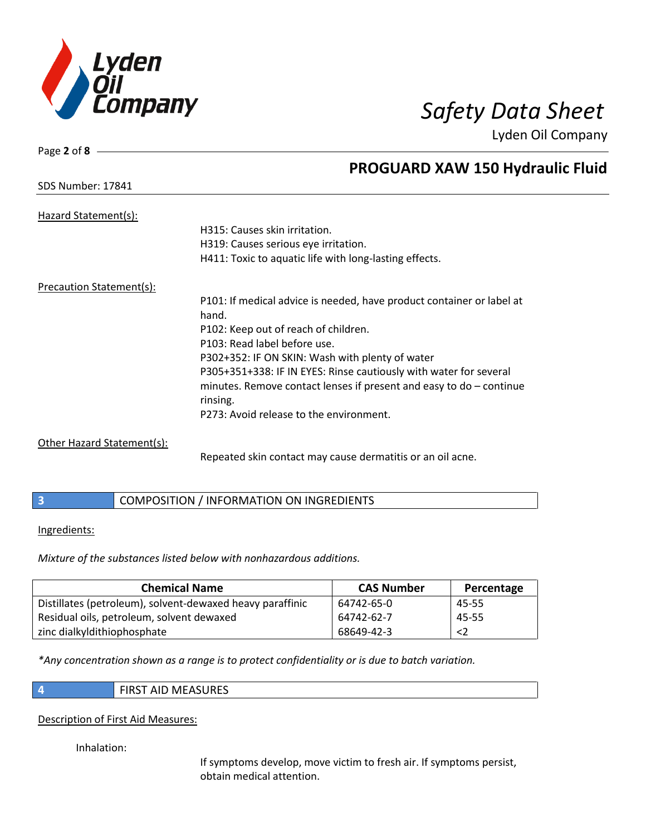

# SDS Number: 17841

Page **2** of **8**

# **PROGUARD XAW 150 Hydraulic Fluid**

| Hazard Statement(s):            |                                                                       |
|---------------------------------|-----------------------------------------------------------------------|
|                                 | H315: Causes skin irritation.                                         |
|                                 | H319: Causes serious eye irritation.                                  |
|                                 | H411: Toxic to aquatic life with long-lasting effects.                |
| <b>Precaution Statement(s):</b> |                                                                       |
|                                 | P101: If medical advice is needed, have product container or label at |
|                                 | hand.                                                                 |
|                                 | P102: Keep out of reach of children.                                  |
|                                 | P103: Read label before use.                                          |
|                                 | P302+352: IF ON SKIN: Wash with plenty of water                       |
|                                 | P305+351+338: IF IN EYES: Rinse cautiously with water for several     |
|                                 | minutes. Remove contact lenses if present and easy to $do$ – continue |
|                                 | rinsing.                                                              |
|                                 | P273: Avoid release to the environment.                               |
| Other Hazard Statement(s):      |                                                                       |

Repeated skin contact may cause dermatitis or an oil acne.

|  | COMPOSITION / INFORMATION ON INGREDIENTS |
|--|------------------------------------------|
|--|------------------------------------------|

## Ingredients:

*Mixture of the substances listed below with nonhazardous additions.*

| <b>Chemical Name</b>                                      | <b>CAS Number</b> | Percentage  |
|-----------------------------------------------------------|-------------------|-------------|
| Distillates (petroleum), solvent-dewaxed heavy paraffinic | 64742-65-0        | 45-55       |
| Residual oils, petroleum, solvent dewaxed                 | 64742-62-7        | 45-55       |
| zinc dialkyldithiophosphate                               | 68649-42-3        | $\langle$ 2 |

*\*Any concentration shown as a range is to protect confidentiality or is due to batch variation.*

| e e |  |
|-----|--|
|     |  |

**4** FIRST AID MEASURES

## Description of First Aid Measures:

Inhalation:

If symptoms develop, move victim to fresh air. If symptoms persist, obtain medical attention.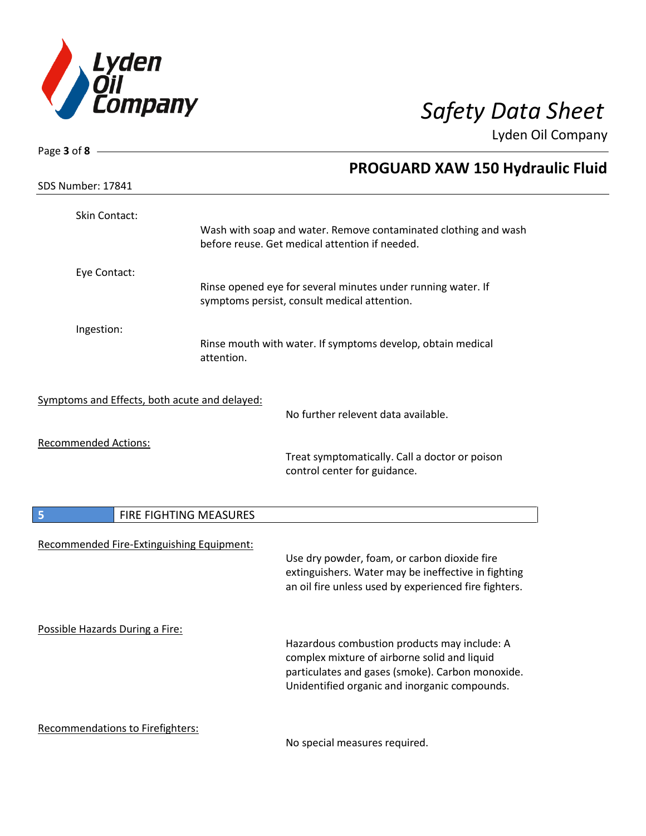

| Page 3 of 8 $-$                               |                                                                                                                                                                                                   |
|-----------------------------------------------|---------------------------------------------------------------------------------------------------------------------------------------------------------------------------------------------------|
|                                               | <b>PROGUARD XAW 150 Hydraulic Fluid</b>                                                                                                                                                           |
| SDS Number: 17841                             |                                                                                                                                                                                                   |
| Skin Contact:                                 | Wash with soap and water. Remove contaminated clothing and wash<br>before reuse. Get medical attention if needed.                                                                                 |
| Eye Contact:                                  | Rinse opened eye for several minutes under running water. If<br>symptoms persist, consult medical attention.                                                                                      |
| Ingestion:                                    | Rinse mouth with water. If symptoms develop, obtain medical<br>attention.                                                                                                                         |
| Symptoms and Effects, both acute and delayed: | No further relevent data available.                                                                                                                                                               |
| <b>Recommended Actions:</b>                   | Treat symptomatically. Call a doctor or poison<br>control center for guidance.                                                                                                                    |
| 5                                             | FIRE FIGHTING MEASURES                                                                                                                                                                            |
| Recommended Fire-Extinguishing Equipment:     | Use dry powder, foam, or carbon dioxide fire<br>extinguishers. Water may be ineffective in fighting<br>an oil fire unless used by experienced fire fighters.                                      |
| Possible Hazards During a Fire:               | Hazardous combustion products may include: A<br>complex mixture of airborne solid and liquid<br>particulates and gases (smoke). Carbon monoxide.<br>Unidentified organic and inorganic compounds. |
| Recommendations to Firefighters:              | No special measures required.                                                                                                                                                                     |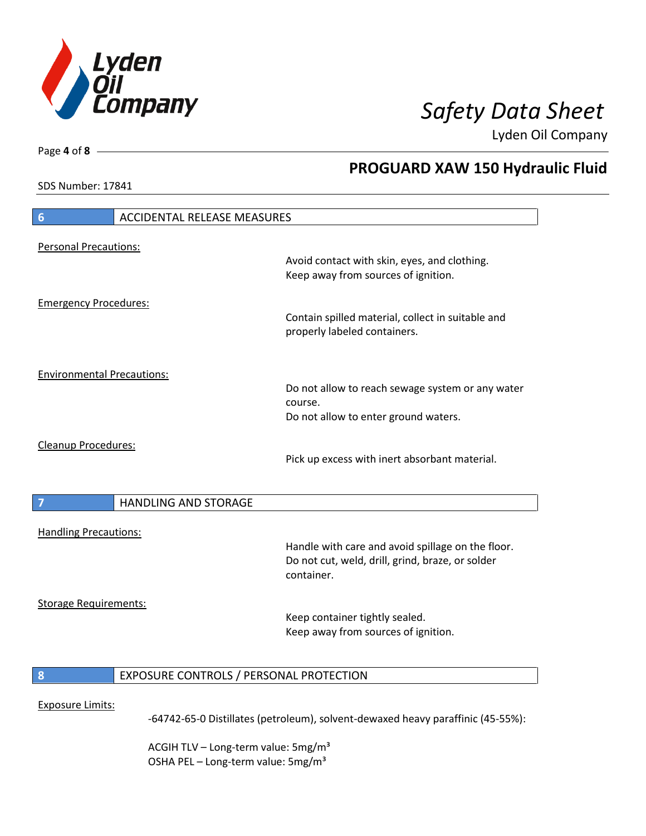

**PROGUARD XAW 150 Hydraulic Fluid**

Lyden Oil Company

SDS Number: 17841

Page **4** of **8**

# **6** ACCIDENTAL RELEASE MEASURES Personal Precautions: Avoid contact with skin, eyes, and clothing. Keep away from sources of ignition. Emergency Procedures: Contain spilled material, collect in suitable and properly labeled containers. Environmental Precautions: Do not allow to reach sewage system or any water course. Do not allow to enter ground waters. Cleanup Procedures: Pick up excess with inert absorbant material. **7 HANDLING AND STORAGE** Handling Precautions: Handle with care and avoid spillage on the floor. Do not cut, weld, drill, grind, braze, or solder container. Storage Requirements: Keep container tightly sealed. Keep away from sources of ignition. **8** EXPOSURE CONTROLS / PERSONAL PROTECTION Exposure Limits: -64742-65-0 Distillates (petroleum), solvent-dewaxed heavy paraffinic (45-55%):

ACGIH TLV – Long-term value:  $5\,\text{mg/m}^3$ OSHA PEL - Long-term value: 5mg/m<sup>3</sup>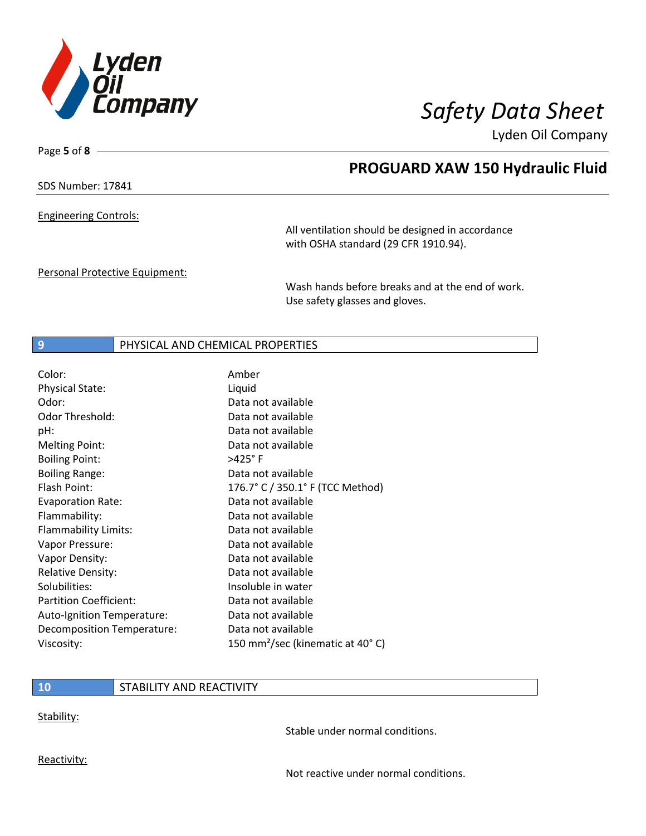

Page **5** of **8**

## **PROGUARD XAW 150 Hydraulic Fluid**

SDS Number: 17841

Engineering Controls:

All ventilation should be designed in accordance with OSHA standard (29 CFR 1910.94).

Personal Protective Equipment:

Wash hands before breaks and at the end of work. Use safety glasses and gloves.

## **9** PHYSICAL AND CHEMICAL PROPERTIES

| Color:                        | Amber                                         |
|-------------------------------|-----------------------------------------------|
| <b>Physical State:</b>        | Liquid                                        |
| Odor:                         | Data not available                            |
| Odor Threshold:               | Data not available                            |
| pH:                           | Data not available                            |
| <b>Melting Point:</b>         | Data not available                            |
| <b>Boiling Point:</b>         | $>425^\circ$ F                                |
| <b>Boiling Range:</b>         | Data not available                            |
| Flash Point:                  | 176.7° C / 350.1° F (TCC Method)              |
| <b>Evaporation Rate:</b>      | Data not available                            |
| Flammability:                 | Data not available                            |
| Flammability Limits:          | Data not available                            |
| Vapor Pressure:               | Data not available                            |
| Vapor Density:                | Data not available                            |
| <b>Relative Density:</b>      | Data not available                            |
| Solubilities:                 | Insoluble in water                            |
| <b>Partition Coefficient:</b> | Data not available                            |
| Auto-Ignition Temperature:    | Data not available                            |
| Decomposition Temperature:    | Data not available                            |
| Viscosity:                    | 150 mm <sup>2</sup> /sec (kinematic at 40° C) |

## **10** STABILITY AND REACTIVITY

Stability:

Stable under normal conditions.

Reactivity:

Not reactive under normal conditions.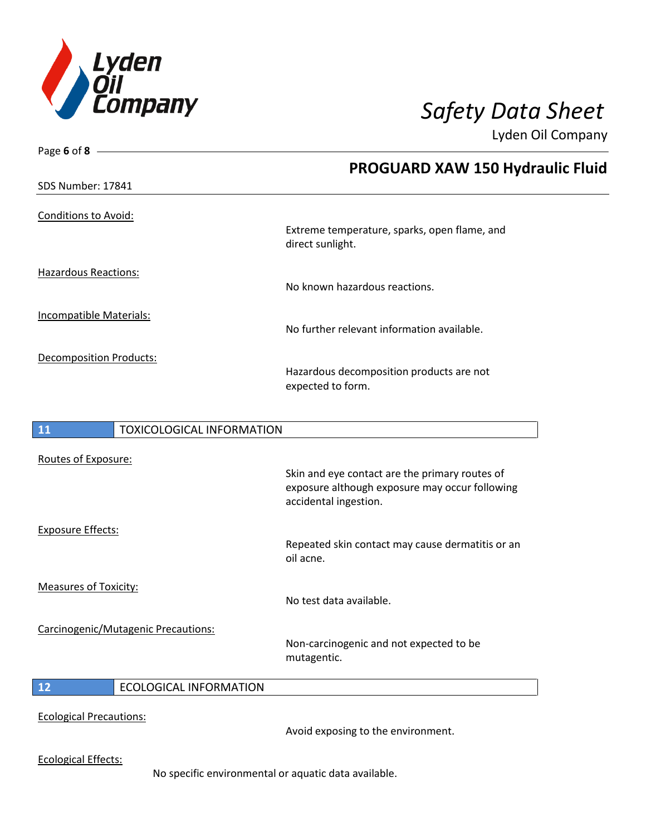

| Page 6 of 8 -                                                                                   |                                                                                                                           |
|-------------------------------------------------------------------------------------------------|---------------------------------------------------------------------------------------------------------------------------|
|                                                                                                 | <b>PROGUARD XAW 150 Hydraulic Fluid</b>                                                                                   |
| <b>SDS Number: 17841</b>                                                                        |                                                                                                                           |
|                                                                                                 |                                                                                                                           |
|                                                                                                 | Extreme temperature, sparks, open flame, and<br>direct sunlight.                                                          |
| <b>Hazardous Reactions:</b>                                                                     | No known hazardous reactions.                                                                                             |
| <b>Conditions to Avoid:</b><br><b>Incompatible Materials:</b><br><b>Decomposition Products:</b> | No further relevant information available.                                                                                |
|                                                                                                 | Hazardous decomposition products are not<br>expected to form.                                                             |
| <b>11</b><br><b>TOXICOLOGICAL INFORMATION</b>                                                   |                                                                                                                           |
| Routes of Exposure:                                                                             |                                                                                                                           |
|                                                                                                 | Skin and eye contact are the primary routes of<br>exposure although exposure may occur following<br>accidental ingestion. |
| <b>Exposure Effects:</b>                                                                        |                                                                                                                           |
|                                                                                                 | Repeated skin contact may cause dermatitis or an<br>oil acne.                                                             |
| <b>Measures of Toxicity:</b>                                                                    |                                                                                                                           |
|                                                                                                 | No test data available.                                                                                                   |
| Carcinogenic/Mutagenic Precautions:                                                             | Non-carcinogenic and not expected to be<br>mutagentic.                                                                    |
| 12<br><b>ECOLOGICAL INFORMATION</b>                                                             |                                                                                                                           |
|                                                                                                 |                                                                                                                           |

Ecological Precautions:

Avoid exposing to the environment.

Ecological Effects:

No specific environmental or aquatic data available.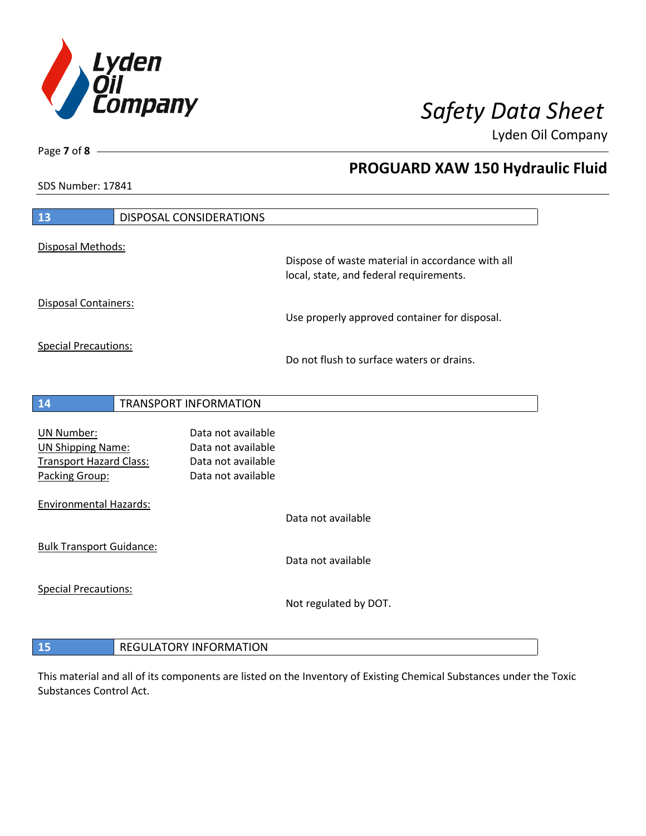

**PROGUARD XAW 150 Hydraulic Fluid**

Lyden Oil Company

SDS Number: 17841

| 13                                                                                                | <b>DISPOSAL CONSIDERATIONS</b>                                                       |                                                                                             |
|---------------------------------------------------------------------------------------------------|--------------------------------------------------------------------------------------|---------------------------------------------------------------------------------------------|
| Disposal Methods:                                                                                 |                                                                                      |                                                                                             |
|                                                                                                   |                                                                                      | Dispose of waste material in accordance with all<br>local, state, and federal requirements. |
| Disposal Containers:                                                                              |                                                                                      | Use properly approved container for disposal.                                               |
| <b>Special Precautions:</b>                                                                       |                                                                                      | Do not flush to surface waters or drains.                                                   |
|                                                                                                   |                                                                                      |                                                                                             |
| 14                                                                                                | <b>TRANSPORT INFORMATION</b>                                                         |                                                                                             |
| <b>UN Number:</b><br><b>UN Shipping Name:</b><br><b>Transport Hazard Class:</b><br>Packing Group: | Data not available<br>Data not available<br>Data not available<br>Data not available |                                                                                             |
| <b>Environmental Hazards:</b>                                                                     |                                                                                      | Data not available                                                                          |
| <b>Bulk Transport Guidance:</b>                                                                   |                                                                                      | Data not available                                                                          |
| <b>Special Precautions:</b>                                                                       |                                                                                      | Not regulated by DOT.                                                                       |
| 15                                                                                                | <b>REGULATORY INFORMATION</b>                                                        |                                                                                             |

This material and all of its components are listed on the Inventory of Existing Chemical Substances under the Toxic Substances Control Act.